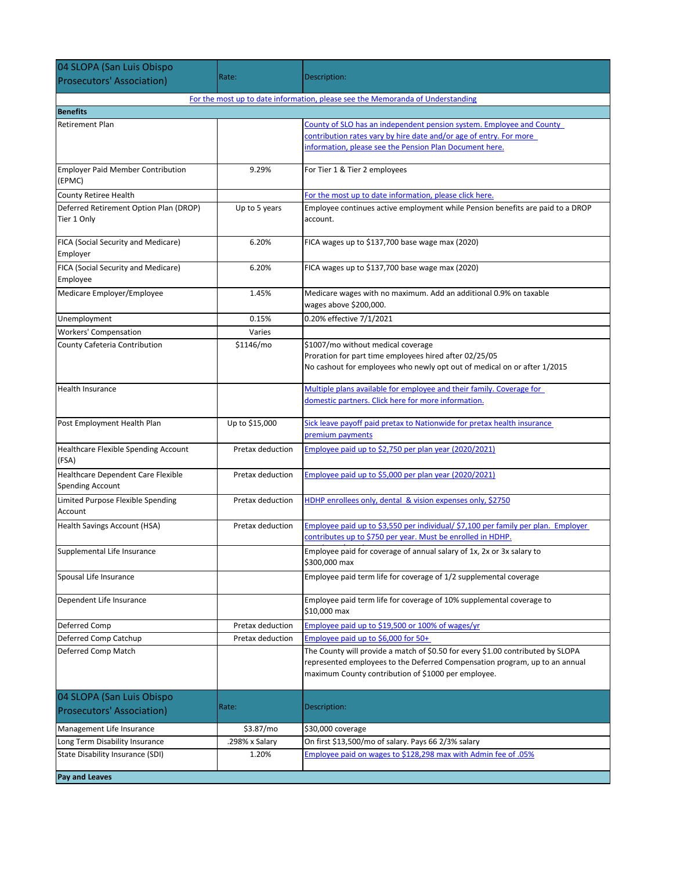| 04 SLOPA (San Luis Obispo                                                      |                  |                                                                                             |  |  |
|--------------------------------------------------------------------------------|------------------|---------------------------------------------------------------------------------------------|--|--|
| <b>Prosecutors' Association)</b>                                               | Rate:            | Description:                                                                                |  |  |
| For the most up to date information, please see the Memoranda of Understanding |                  |                                                                                             |  |  |
| <b>Benefits</b>                                                                |                  |                                                                                             |  |  |
| <b>Retirement Plan</b>                                                         |                  | County of SLO has an independent pension system. Employee and County                        |  |  |
|                                                                                |                  | contribution rates vary by hire date and/or age of entry. For more                          |  |  |
|                                                                                |                  | information, please see the Pension Plan Document here.                                     |  |  |
| <b>Employer Paid Member Contribution</b>                                       | 9.29%            | For Tier 1 & Tier 2 employees                                                               |  |  |
| (EPMC)                                                                         |                  |                                                                                             |  |  |
| County Retiree Health                                                          |                  | For the most up to date information, please click here.                                     |  |  |
| Deferred Retirement Option Plan (DROP)                                         | Up to 5 years    | Employee continues active employment while Pension benefits are paid to a DROP              |  |  |
| Tier 1 Only                                                                    |                  | account.                                                                                    |  |  |
| FICA (Social Security and Medicare)                                            | 6.20%            | FICA wages up to \$137,700 base wage max (2020)                                             |  |  |
| Employer                                                                       |                  |                                                                                             |  |  |
| FICA (Social Security and Medicare)                                            | 6.20%            | FICA wages up to \$137,700 base wage max (2020)                                             |  |  |
| Employee<br>Medicare Employer/Employee                                         | 1.45%            |                                                                                             |  |  |
|                                                                                |                  | Medicare wages with no maximum. Add an additional 0.9% on taxable<br>wages above \$200,000. |  |  |
| Unemployment                                                                   | 0.15%            | 0.20% effective 7/1/2021                                                                    |  |  |
| <b>Workers' Compensation</b>                                                   | Varies           |                                                                                             |  |  |
| County Cafeteria Contribution                                                  | \$1146/mo        | \$1007/mo without medical coverage                                                          |  |  |
|                                                                                |                  | Proration for part time employees hired after 02/25/05                                      |  |  |
|                                                                                |                  | No cashout for employees who newly opt out of medical on or after 1/2015                    |  |  |
| Health Insurance                                                               |                  | Multiple plans available for employee and their family. Coverage for                        |  |  |
|                                                                                |                  | domestic partners. Click here for more information.                                         |  |  |
| Post Employment Health Plan                                                    | Up to \$15,000   | Sick leave payoff paid pretax to Nationwide for pretax health insurance                     |  |  |
|                                                                                |                  | premium payments                                                                            |  |  |
| Healthcare Flexible Spending Account                                           | Pretax deduction | Employee paid up to \$2,750 per plan year (2020/2021)                                       |  |  |
| (FSA)                                                                          |                  |                                                                                             |  |  |
| Healthcare Dependent Care Flexible                                             | Pretax deduction | Employee paid up to \$5,000 per plan year (2020/2021)                                       |  |  |
| <b>Spending Account</b>                                                        |                  |                                                                                             |  |  |
| Limited Purpose Flexible Spending<br>Account                                   | Pretax deduction | HDHP enrollees only, dental & vision expenses only, \$2750                                  |  |  |
| Health Savings Account (HSA)                                                   | Pretax deduction | Employee paid up to \$3,550 per individual/ \$7,100 per family per plan. Employer           |  |  |
|                                                                                |                  | contributes up to \$750 per year. Must be enrolled in HDHP.                                 |  |  |
| Supplemental Life Insurance                                                    |                  | Employee paid for coverage of annual salary of 1x, 2x or 3x salary to                       |  |  |
|                                                                                |                  | \$300,000 max                                                                               |  |  |
| Spousal Life Insurance                                                         |                  | Employee paid term life for coverage of 1/2 supplemental coverage                           |  |  |
| Dependent Life Insurance                                                       |                  | Employee paid term life for coverage of 10% supplemental coverage to                        |  |  |
|                                                                                |                  | \$10,000 max                                                                                |  |  |
| Deferred Comp                                                                  | Pretax deduction | Employee paid up to \$19,500 or 100% of wages/yr                                            |  |  |
| Deferred Comp Catchup                                                          | Pretax deduction | Employee paid up to \$6,000 for 50+                                                         |  |  |
| Deferred Comp Match                                                            |                  | The County will provide a match of \$0.50 for every \$1.00 contributed by SLOPA             |  |  |
|                                                                                |                  | represented employees to the Deferred Compensation program, up to an annual                 |  |  |
|                                                                                |                  | maximum County contribution of \$1000 per employee.                                         |  |  |
| 04 SLOPA (San Luis Obispo                                                      |                  |                                                                                             |  |  |
| <b>Prosecutors' Association)</b>                                               | Rate:            | Description:                                                                                |  |  |
| Management Life Insurance                                                      | \$3.87/mo        | \$30,000 coverage                                                                           |  |  |
| Long Term Disability Insurance                                                 | .298% x Salary   | On first \$13,500/mo of salary. Pays 66 2/3% salary                                         |  |  |
| State Disability Insurance (SDI)                                               | 1.20%            | Employee paid on wages to \$128,298 max with Admin fee of .05%                              |  |  |
|                                                                                |                  |                                                                                             |  |  |
| Pay and Leaves                                                                 |                  |                                                                                             |  |  |